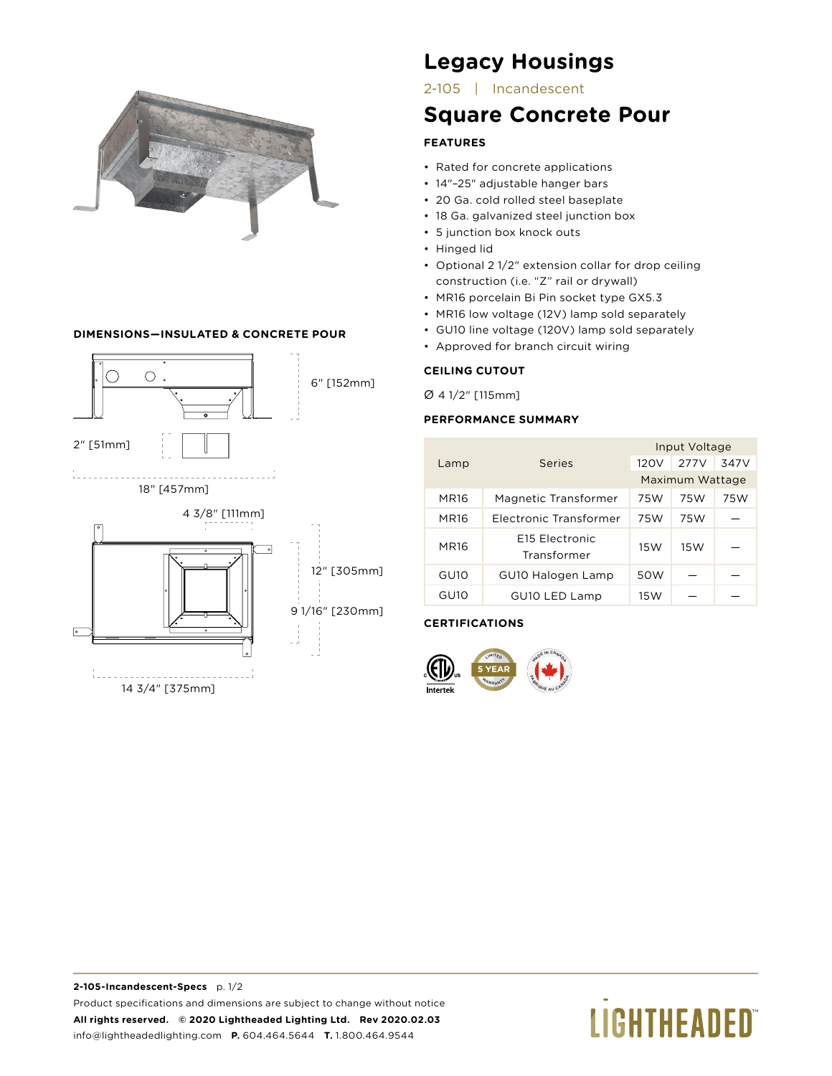

# **DIMENSIONS—INSULATED & CONCRETE POUR**



# **Legacy Housings**

2-105 | Incandescent

# **Square Concrete Pour**

# **FEATURES**

- Rated for concrete applications
- 14"–25" adjustable hanger bars
- 20 Ga. cold rolled steel baseplate
- 18 Ga. galvanized steel junction box
- 5 junction box knock outs
- Hinged lid
- Optional 2 1/2" extension collar for drop ceiling construction (i.e. "Z" rail or drywall)
- MR16 porcelain Bi Pin socket type GX5.3
- MR16 low voltage (12V) lamp sold separately
- GU10 line voltage (120V) lamp sold separately
- Approved for branch circuit wiring

# **CEILING CUTOUT**

Ø 4 1/2" [115mm]

## **PERFORMANCE SUMMARY**

| Lamp             | Series                                    | Input Voltage   |      |      |
|------------------|-------------------------------------------|-----------------|------|------|
|                  |                                           | 120V            | 277V | 347V |
|                  |                                           | Maximum Wattage |      |      |
| <b>MR16</b>      | Magnetic Transformer                      | 75W             | 75W  | 75W  |
| <b>MR16</b>      | Electronic Transformer                    | 75W             | 75W  |      |
| <b>MR16</b>      | E <sub>15</sub> Electronic<br>Transformer | 15W             | 15W  |      |
| GU <sub>10</sub> | GU10 Halogen Lamp                         | 50W             |      |      |
| GU10             | GU10 LED Lamp                             | 15W             |      |      |

# **CERTIFICATIONS**



# **LIGHTHEADED**®